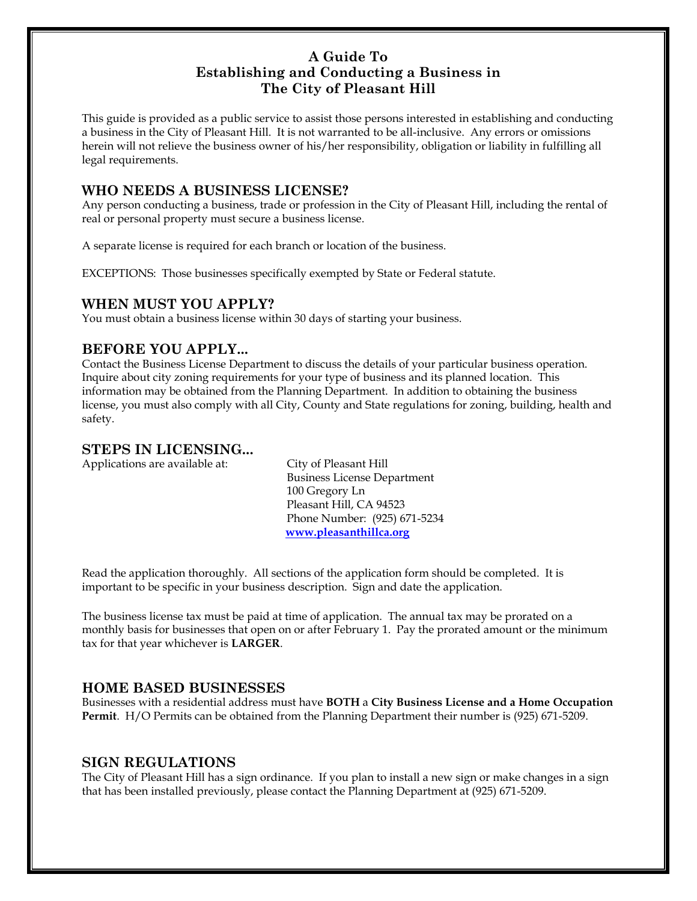## **A Guide To Establishing and Conducting a Business in The City of Pleasant Hill**

This guide is provided as a public service to assist those persons interested in establishing and conducting a business in the City of Pleasant Hill. It is not warranted to be all-inclusive. Any errors or omissions herein will not relieve the business owner of his/her responsibility, obligation or liability in fulfilling all legal requirements.

## **WHO NEEDS A BUSINESS LICENSE?**

Any person conducting a business, trade or profession in the City of Pleasant Hill, including the rental of real or personal property must secure a business license.

A separate license is required for each branch or location of the business.

EXCEPTIONS: Those businesses specifically exempted by State or Federal statute.

## **WHEN MUST YOU APPLY?**

You must obtain a business license within 30 days of starting your business.

## **BEFORE YOU APPLY...**

Contact the Business License Department to discuss the details of your particular business operation. Inquire about city zoning requirements for your type of business and its planned location. This information may be obtained from the Planning Department. In addition to obtaining the business license, you must also comply with all City, County and State regulations for zoning, building, health and safety.

## **STEPS IN LICENSING...**

Applications are available at: City of Pleasant Hill

Business License Department 100 Gregory Ln Pleasant Hill, CA 94523 Phone Number: (925) 671-5234  **[www.pleasanthillca.org](http://www.pleasanthillca.org/)**

Read the application thoroughly. All sections of the application form should be completed. It is important to be specific in your business description. Sign and date the application.

The business license tax must be paid at time of application. The annual tax may be prorated on a monthly basis for businesses that open on or after February 1. Pay the prorated amount or the minimum tax for that year whichever is **LARGER**.

#### **HOME BASED BUSINESSES**

Businesses with a residential address must have **BOTH** a **City Business License and a Home Occupation Permit**.H/O Permits can be obtained from the Planning Department their number is (925) 671-5209.

#### **SIGN REGULATIONS**

The City of Pleasant Hill has a sign ordinance. If you plan to install a new sign or make changes in a sign that has been installed previously, please contact the Planning Department at (925) 671-5209.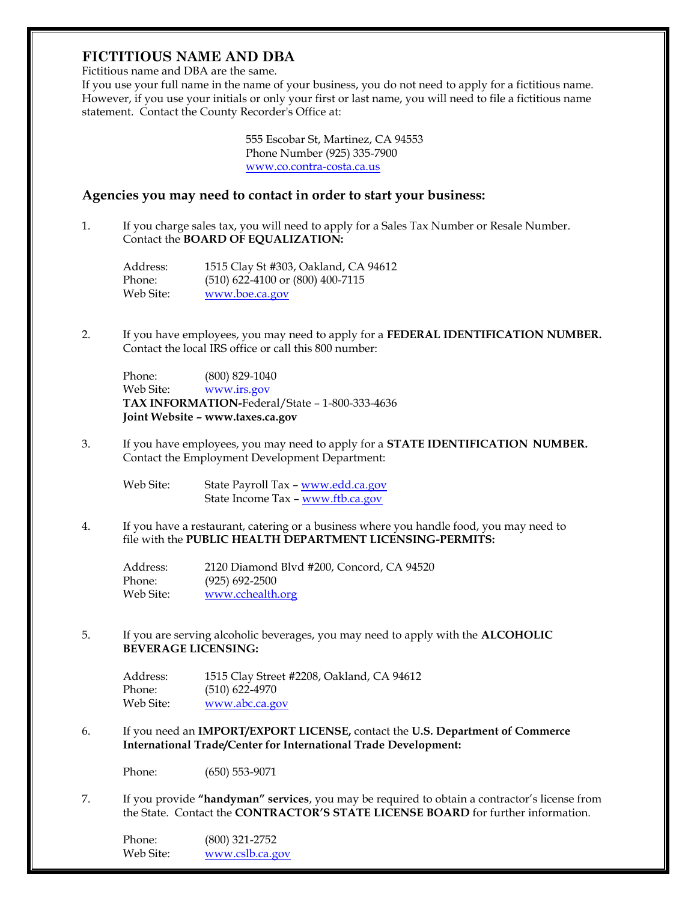# **FICTITIOUS NAME AND DBA**

Fictitious name and DBA are the same.

If you use your full name in the name of your business, you do not need to apply for a fictitious name. However, if you use your initials or only your first or last name, you will need to file a fictitious name statement. Contact the County Recorder's Office at:

> 555 Escobar St, Martinez, CA 94553 Phone Number (925) 335-7900 [www.co.contra-costa.ca.us](http://www.co.contra-costa.ca.us/)

#### **Agencies you may need to contact in order to start your business:**

1. If you charge sales tax, you will need to apply for a Sales Tax Number or Resale Number. Contact the **BOARD OF EQUALIZATION:**

Address: 1515 Clay St #303, Oakland, CA 94612 Phone: (510) 622-4100 or (800) 400-7115 Web Site: [www.boe.ca.gov](http://www.boe.ca.gov/)

2. If you have employees, you may need to apply for a **FEDERAL IDENTIFICATION NUMBER.**  Contact the local IRS office or call this 800 number:

Phone: (800) 829-1040 Web Site: [www.irs.gov](http://www.irs.gov/) **TAX INFORMATION-**Federal/State – 1-800-333-4636 **Joint Website – www.taxes.ca.gov**

3. If you have employees, you may need to apply for a **STATE IDENTIFICATION NUMBER.**  Contact the Employment Development Department:

Web Site: State Payroll Tax - [www.edd.ca.gov](http://www.edd.ca.gov/) State Income Tax – [www.ftb.ca.gov](http://www.ftb.ca.gov/)

4. If you have a restaurant, catering or a business where you handle food, you may need to file with the **PUBLIC HEALTH DEPARTMENT LICENSING-PERMITS:**

| Address:  | 2120 Diamond Blvd #200, Concord, CA 94520 |
|-----------|-------------------------------------------|
| Phone:    | $(925)$ 692-2500                          |
| Web Site: | www.cchealth.org                          |

5. If you are serving alcoholic beverages, you may need to apply with the **ALCOHOLIC BEVERAGE LICENSING:**

| Address:  | 1515 Clay Street #2208, Oakland, CA 94612 |
|-----------|-------------------------------------------|
| Phone:    | $(510)$ 622-4970                          |
| Web Site: | www.abc.ca.gov                            |

6. If you need an **IMPORT/EXPORT LICENSE,** contact the **U.S. Department of Commerce International Trade/Center for International Trade Development:**

Phone: (650) 553-9071

7. If you provide **"handyman" services**, you may be required to obtain a contractor's license from the State. Contact the **CONTRACTOR'S STATE LICENSE BOARD** for further information.

Phone: (800) 321-2752 Web Site: [www.cslb.ca.gov](http://www.cslb.ca.gov/)